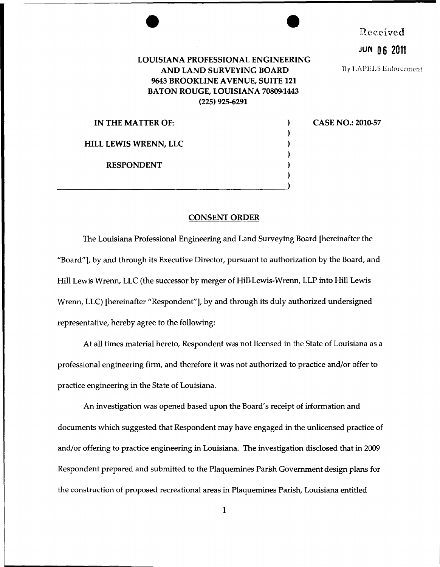## **LOUISIANA PROFESSIONAL ENGINEERING AND LAND SURVEYING BOARD 9643 BROOKLINE A VENUE, SUITE 121 BATON ROUGE, LOUISIANA 70809-1443 (225) 925-6291**

) ) ) ) ) Received

**JUf'4 0 6 2011** 

By LAPELS Enforcement

**CASE NO.: 2010-57** 

**IN THE MATTER OF: HILL LEWIS WRENN, LLC RESPONDENT**  ) and the contract of  $\overline{\phantom{a}}$  (  $\overline{\phantom{a}}$  ) and  $\overline{\phantom{a}}$  (  $\overline{\phantom{a}}$  ) and  $\overline{\phantom{a}}$ 

## **CONSENT ORDER**

The Louisiana Professional Engineering and Land Surveying Board [hereinafter the "Board"], by and through its Executive Director, pursuant to authorization by the Board, and Hill Lewis Wrenn, LLC (the successor by merger of Hill-Lewis-Wrenn, LLP into Hill Lewis Wrenn, LLC) [hereinafter "Respondent"], by and through its duly authorized undersigned representative, hereby agree to the following:

At all times material hereto, Respondent was not licensed in the State of Louisiana as a professional engineering firm, and therefore it was not authorized to practice and/or offer to practice engineering in the State of Louisiana.

An investigation was opened based upon the Board's receipt of information and documents which suggested that Respondent may have engaged in the unlicensed practice of and/or offering to practice engineering in Louisiana. The investigation disclosed that in 2009 Respondent prepared and submitted to the Plaquemines Parish Government design plans for the construction of proposed recreational areas in Plaquemines Parish, Louisiana entitled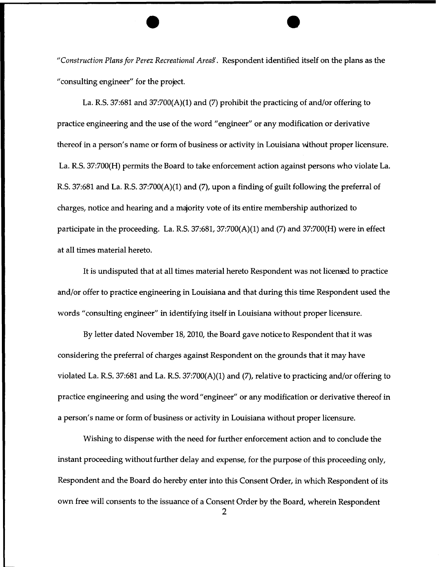*"Construction Plans for Perez Recreational Areag.* Respondent identified itself on the plans as the "consulting engineer" for the project.

La. R.S. 37:681 and  $37:700(A)(1)$  and (7) prohibit the practicing of and/or offering to practice engineering and the use of the word "engineer" or any modification or derivative thereof in a person's name or form of business or activity in Louisiana wthout proper licensure. La. R.S. 37:700(H) permits the Board to take enforcement action against persons who violate La. R.S. 37:681 and La. R.S. 37:700(A)(1) and (7}, upon a finding of guilt following the preferral of charges, notice and hearing and a majority vote of its entire membership authorized to participate in the proceeding. La. R.S.  $37:681$ ,  $37:700(A)(1)$  and  $(7)$  and  $37:700(H)$  were in effect at all times material hereto.

It is undisputed that at all times material hereto Respondent was not licemed to practice and/or offer to practice engineering in Louisiana and that during this time Respondent used the words "consulting engineer" in identifying itself in Louisiana without proper licensure.

By letter dated November 18, 2010, the Board gave notice to Respondent that it was considering the preferral of charges against Respondent on the grounds that it may have violated La. R.S. 37:681 and La. R.S. 37:700(A)(1) and (7), relative to practicing and/or offering to practice engineering and using the word "engineer" or any modification or derivative thereof in a person's name or form of business or activity in Louisiana without proper licensure.

Wishing to dispense with the need for further enforcement action and to conclude the instant proceeding without further delay and expense, for the purpose of this proceeding only, Respondent and the Board do hereby enter into this Consent Order, in which Respondent of its own free will consents to the issuance of a Consent Order by the Board, wherein Respondent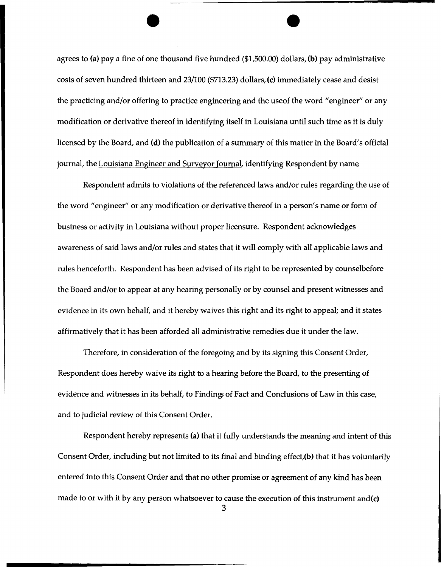agrees to (a) pay a fine of one thousand five hundred (\$1,500.00) dollars, (b) pay administrative costs of seven hundred thirteen and 23/100 (\$713.23) dollars, (c) immediately cease and desist the practicing and/or offering to practice engineering and the useof the word "engineer" or any modification or derivative thereof in identifying itself in Louisiana until such time as it is duly licensed by the Board, and (d) the publication of a summary of this matter in the Board's official journal, the Louisiana Engineer and Surveyor Journal, identifying Respondent by name.

Respondent admits to violations of the referenced laws and/or rules regarding the use of the word "engineer" or any modification or derivative thereof in a person's name or form of business or activity in Louisiana without proper licensure. Respondent acknowledges awareness of said laws and/or rules and states that it will comply with all applicable laws and rules henceforth. Respondent has been advised of its right to be represented by counselbefore the Board and/or to appear at any hearing personally or by counsel and present witnesses and evidence in its own behalf, and it hereby waives this right and its right to appeal; and it states affirmatively that it has been afforded all administrati\e remedies due it under the law.

Therefore, in consideration of the foregoing and by its signing this Consent Order, Respondent does hereby waive its right to a hearing before the Board, to the presenting of evidence and witnesses in its behalf, to Finding of Fact and Conclusions of Law in this case, and to judicial review of this Consent Order.

Respondent hereby represents (a) that it fully understands the meaning and intent of this Consent Order, including but not limited to its final and binding effect,(b) that it has voluntarily entered into this Consent Order and that no other promise or agreement of any kind has been made to or with it by any person whatsoever to cause the execution of this instrument and(c)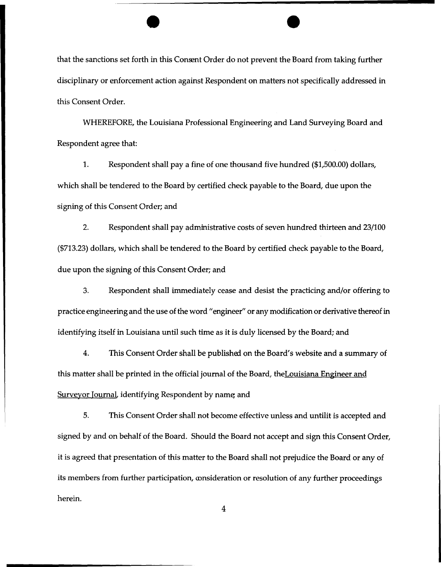that the sanctions set forth in this Consent Order do not prevent the Board from taking further disciplinary or enforcement action against Respondent on matters not specifically addressed in this Consent Order.

WHEREFORE, the Louisiana Professional Engineering and Land Surveying Board and Respondent agree that:

1. Respondent shall pay a fine of one thousand five hundred (\$1,500.00) dollars, which shall be tendered to the Board by certified check payable to the Board, due upon the signing of this Consent Order; and

2. Respondent shall pay administrative costs of seven hundred thirteen and 23/100 (\$713.23) dollars, which shall be tendered to the Board by certified check payable to the Board, due upon the signing of this Consent Order; and

3. Respondent shall immediately cease and desist the practicing and/or offering to practice engineering and the use of the word "engineer" or any modification or derivative thereof in identifying itself in Louisiana until such time as it is duly licensed by the Board; and

4. This Consent Order shall be published on the Board's website and a summary of this matter shall be printed in the official journal of the Board, the Louisiana Engineer and Surveyor Journal, identifying Respondent by name, and

5. This Consent Order shall not become effective unless and untilit is accepted and signed by and on behalf of the Board. Should the Board not accept and sign this Consent Order, it is agreed that presentation of this matter to the Board shall not prejudice the Board or any of its members from further participation, consideration or resolution of any further proceedings herein.

4